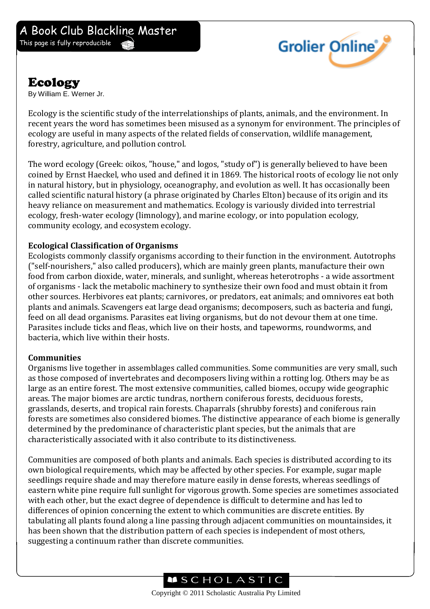

## Ecology

By William E. Werner Jr.

Ecology is the scientific study of the interrelationships of plants, animals, and the environment. In recent years the word has sometimes been misused as a synonym for environment. The principles of ecology are useful in many aspects of the related fields of conservation, wildlife management, forestry, agriculture, and pollution control.

The word ecology (Greek: oikos, "house," and logos, "study of") is generally believed to have been coined by Ernst Haeckel, who used and defined it in 1869. The historical roots of ecology lie not only in natural history, but in physiology, oceanography, and evolution as well. It has occasionally been called scientific natural history (a phrase originated by Charles Elton) because of its origin and its heavy reliance on measurement and mathematics. Ecology is variously divided into terrestrial ecology, fresh-water ecology (limnology), and marine ecology, or into population ecology, community ecology, and ecosystem ecology.

## **Ecological Classification of Organisms**

Ecologists commonly classify organisms according to their function in the environment. Autotrophs ("self-nourishers," also called producers), which are mainly green plants, manufacture their own food from carbon dioxide, water, minerals, and sunlight, whereas heterotrophs - a wide assortment of organisms - lack the metabolic machinery to synthesize their own food and must obtain it from other sources. Herbivores eat plants; carnivores, or predators, eat animals; and omnivores eat both plants and animals. Scavengers eat large dead organisms; decomposers, such as bacteria and fungi, feed on all dead organisms. Parasites eat living organisms, but do not devour them at one time. Parasites include ticks and fleas, which live on their hosts, and tapeworms, roundworms, and bacteria, which live within their hosts.

## **Communities**

Organisms live together in assemblages called communities. Some communities are very small, such as those composed of invertebrates and decomposers living within a rotting log. Others may be as large as an entire forest. The most extensive communities, called biomes, occupy wide geographic areas. The major biomes are arctic tundras, northern coniferous forests, deciduous forests, grasslands, deserts, and tropical rain forests. Chaparrals (shrubby forests) and coniferous rain forests are sometimes also considered biomes. The distinctive appearance of each biome is generally determined by the predominance of characteristic plant species, but the animals that are characteristically associated with it also contribute to its distinctiveness.

Communities are composed of both plants and animals. Each species is distributed according to its own biological requirements, which may be affected by other species. For example, sugar maple seedlings require shade and may therefore mature easily in dense forests, whereas seedlings of eastern white pine require full sunlight for vigorous growth. Some species are sometimes associated with each other, but the exact degree of dependence is difficult to determine and has led to differences of opinion concerning the extent to which communities are discrete entities. By tabulating all plants found along a line passing through adjacent communities on mountainsides, it has been shown that the distribution pattern of each species is independent of most others, suggesting a continuum rather than discrete communities.